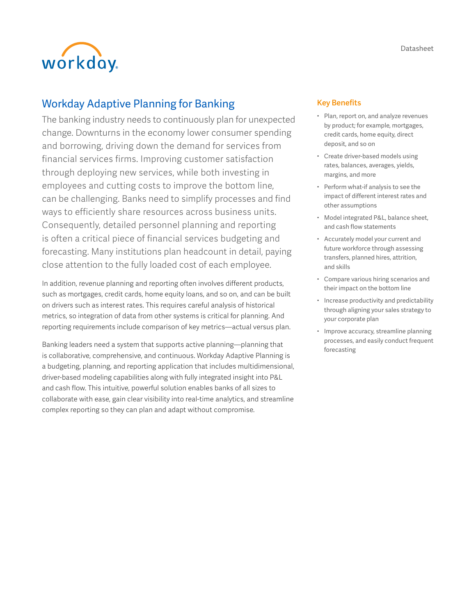



# Workday Adaptive Planning for Banking

The banking industry needs to continuously plan for unexpected change. Downturns in the economy lower consumer spending and borrowing, driving down the demand for services from financial services firms. Improving customer satisfaction through deploying new services, while both investing in employees and cutting costs to improve the bottom line, can be challenging. Banks need to simplify processes and find ways to efficiently share resources across business units. Consequently, detailed personnel planning and reporting is often a critical piece of financial services budgeting and forecasting. Many institutions plan headcount in detail, paying close attention to the fully loaded cost of each employee.

In addition, revenue planning and reporting often involves different products, such as mortgages, credit cards, home equity loans, and so on, and can be built on drivers such as interest rates. This requires careful analysis of historical metrics, so integration of data from other systems is critical for planning. And reporting requirements include comparison of key metrics—actual versus plan.

Banking leaders need a system that supports active planning—planning that is collaborative, comprehensive, and continuous. Workday Adaptive Planning is a budgeting, planning, and reporting application that includes multidimensional, driver-based modeling capabilities along with fully integrated insight into P&L and cash flow. This intuitive, powerful solution enables banks of all sizes to collaborate with ease, gain clear visibility into real-time analytics, and streamline complex reporting so they can plan and adapt without compromise.

# Key Benefits

- Plan, report on, and analyze revenues by product; for example, mortgages, credit cards, home equity, direct deposit, and so on
- Create driver-based models using rates, balances, averages, yields, margins, and more
- Perform what-if analysis to see the impact of different interest rates and other assumptions
- Model integrated P&L, balance sheet, and cash flow statements
- Accurately model your current and future workforce through assessing transfers, planned hires, attrition, and skills
- Compare various hiring scenarios and their impact on the bottom line
- Increase productivity and predictability through aligning your sales strategy to your corporate plan
- Improve accuracy, streamline planning processes, and easily conduct frequent forecasting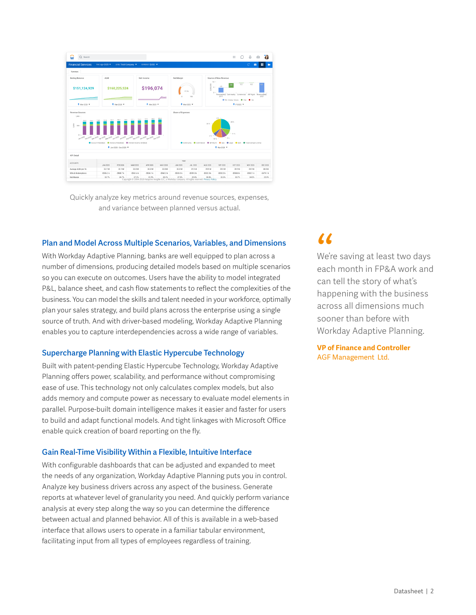| <b>Financial Services</b>                                                              | TIME Apr-2020 .                                                                                                 | LEVEL Total Company                                                                          | OURRENCY SUSD Y                                               |                    |                     |                                                                                                                                                                       |                                                                                         |                                 |                    | C<br>$\bullet$     | ÷                  |
|----------------------------------------------------------------------------------------|-----------------------------------------------------------------------------------------------------------------|----------------------------------------------------------------------------------------------|---------------------------------------------------------------|--------------------|---------------------|-----------------------------------------------------------------------------------------------------------------------------------------------------------------------|-----------------------------------------------------------------------------------------|---------------------------------|--------------------|--------------------|--------------------|
| Summary                                                                                |                                                                                                                 |                                                                                              |                                                               |                    |                     |                                                                                                                                                                       |                                                                                         |                                 |                    |                    |                    |
| <b>Ending Balance</b><br>\$151,124,929                                                 | AUM<br>Net Income<br>\$196,074<br>\$160,225,524                                                                 |                                                                                              |                                                               |                    | Net Margin<br>27.3% | Source of New Revenue<br>$10 -$<br>0.2<br>0.2<br>5,000,000<br>6.9<br>4.5<br>$5 -$<br>$0 -$<br>Reverse(Act) Community Commercial ISP Mgmt Reverse(Bad)<br>2019<br>2023 |                                                                                         |                                 |                    |                    |                    |
| ₹ Mar 2020 ▼                                                                           | ₹ Mar-2020 ▼<br># Mar-2020 W                                                                                    |                                                                                              |                                                               |                    |                     | @ Ref. /Comp. Values @ +Vor @ -Van<br># Mar 2020 W<br>+ FV2020 +                                                                                                      |                                                                                         |                                 |                    |                    |                    |
| Revenue Sources<br>1,000                                                               |                                                                                                                 |                                                                                              |                                                               |                    | Share of Expenses   |                                                                                                                                                                       |                                                                                         |                                 |                    |                    |                    |
| 718.5<br>705.5<br>203.6<br>\$<br>500<br>$0 - 1$<br><b>Jan 2020</b><br>Account FeesiBud | 750.6<br>333.7<br>727.8<br>TER LA CONTRA GEORGIA CON TELE AND TELE CONTRA<br><sup>#</sup> Jan-2020 - Dec-2020 ▼ | 784.9<br>221.1<br>710.2<br>OTOT One ONE FOR<br>Advisory FeesiBudi · Chrarest Income, NetBudi | 0207<br>707.0<br><b>BOCKO</b><br>san 2020 <sub>nec</sub> 2020 | 625.4              |                     |                                                                                                                                                                       | 35%<br>6%<br>Community Commercial C ISP Mont C Cos C Legal C GSA C Total Company (Only) | D%<br>9%<br>12%<br>+ маг-2020 ▼ | 28%<br>11%         |                    |                    |
|                                                                                        |                                                                                                                 |                                                                                              |                                                               |                    |                     |                                                                                                                                                                       |                                                                                         |                                 |                    |                    |                    |
| <b>KPI Detail</b>                                                                      |                                                                                                                 |                                                                                              |                                                               |                    | TIME                |                                                                                                                                                                       |                                                                                         |                                 |                    |                    |                    |
| <b>ACCOUNTS</b>                                                                        |                                                                                                                 |                                                                                              |                                                               |                    |                     |                                                                                                                                                                       |                                                                                         |                                 |                    |                    |                    |
| Average AUM per FA                                                                     | JAN 2020<br>FEB 2020<br>32.1 M<br>32.1 M                                                                        | MAR 2020<br>32.0 M                                                                           | APR 2020<br>32.0 M                                            | MAY 2020<br>32.0 M | JUN 2020<br>32.0 M  | JUL 2020<br>31.9 M                                                                                                                                                    | AUG 2020<br>39.9 M                                                                      | SEP 2020<br>39.9 M              | OCT 2020<br>39.9 M | NOV 2020<br>39.9 M | DEC 2020<br>40.0 M |

Quickly analyze key metrics around revenue sources, expenses, and variance between planned versus actual.

# Plan and Model Across Multiple Scenarios, Variables, and Dimensions

With Workday Adaptive Planning, banks are well equipped to plan across a number of dimensions, producing detailed models based on multiple scenarios so you can execute on outcomes. Users have the ability to model integrated P&L, balance sheet, and cash flow statements to reflect the complexities of the business. You can model the skills and talent needed in your workforce, optimally plan your sales strategy, and build plans across the enterprise using a single source of truth. And with driver-based modeling, Workday Adaptive Planning enables you to capture interdependencies across a wide range of variables.

#### Supercharge Planning with Elastic Hypercube Technology

Built with patent-pending Elastic Hypercube Technology, Workday Adaptive Planning offers power, scalability, and performance without compromising ease of use. This technology not only calculates complex models, but also adds memory and compute power as necessary to evaluate model elements in parallel. Purpose-built domain intelligence makes it easier and faster for users to build and adapt functional models. And tight linkages with Microsoft Office enable quick creation of board reporting on the fly.

### Gain Real-Time Visibility Within a Flexible, Intuitive Interface

With configurable dashboards that can be adjusted and expanded to meet the needs of any organization, Workday Adaptive Planning puts you in control. Analyze key business drivers across any aspect of the business. Generate reports at whatever level of granularity you need. And quickly perform variance analysis at every step along the way so you can determine the difference between actual and planned behavior. All of this is available in a web-based interface that allows users to operate in a familiar tabular environment, facilitating input from all types of employees regardless of training.

(C<br>We're<br>each<br>can i We're saving at least two days each month in FP&A work and can tell the story of what's happening with the business across all dimensions much sooner than before with Workday Adaptive Planning.

**VP of Finance and Controller**  AGF Management Ltd.